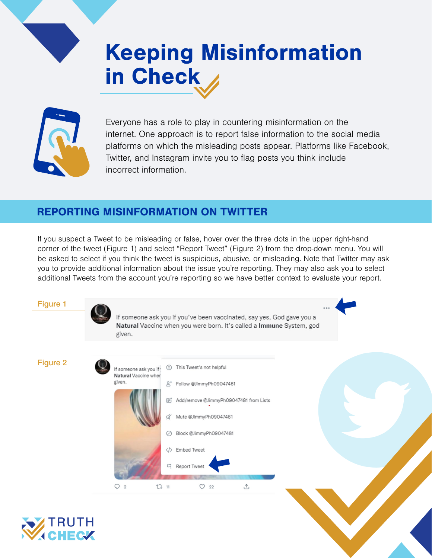## Keeping Misinformation in Check



Everyone has a role to play in countering misinformation on the internet. One approach is to report false information to the social media platforms on which the misleading posts appear. Platforms like Facebook, Twitter, and Instagram invite you to flag posts you think include incorrect information.

## REPORTING MISINFORMATION ON TWITTER

If you suspect a Tweet to be misleading or false, hover over the three dots in the upper right-hand corner of the tweet (Figure 1) and select "Report Tweet" (Figure 2) from the drop-down menu. You will be asked to select if you think the tweet is suspicious, abusive, or misleading. Note that Twitter may ask you to provide additional information about the issue you're reporting. They may also ask you to select additional Tweets from the account you're reporting so we have better context to evaluate your report.